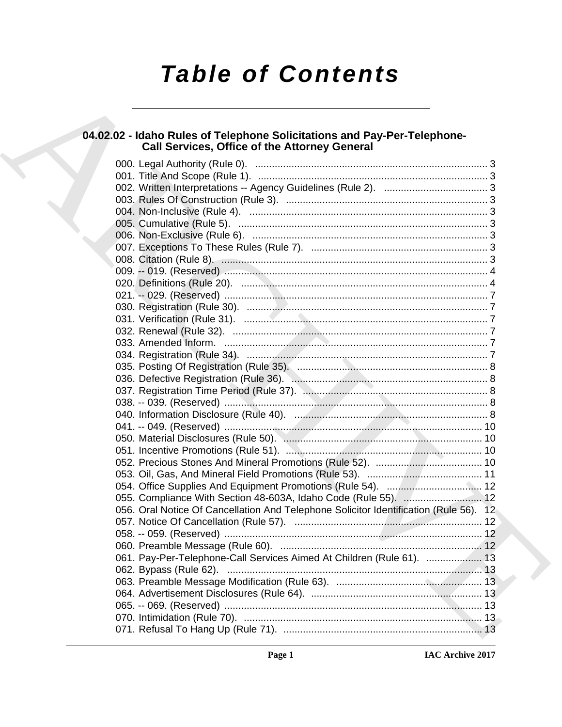# **Table of Contents**

# 04.02.02 - Idaho Rules of Telephone Solicitations and Pay-Per-Telephone-<br>Call Services, Office of the Attorney General

| 055. Compliance With Section 48-603A, Idaho Code (Rule 55).  12                       |  |
|---------------------------------------------------------------------------------------|--|
| 056. Oral Notice Of Cancellation And Telephone Solicitor Identification (Rule 56). 12 |  |
|                                                                                       |  |
|                                                                                       |  |
|                                                                                       |  |
| 061. Pay-Per-Telephone-Call Services Aimed At Children (Rule 61).  13                 |  |
|                                                                                       |  |
|                                                                                       |  |
|                                                                                       |  |
|                                                                                       |  |
|                                                                                       |  |
|                                                                                       |  |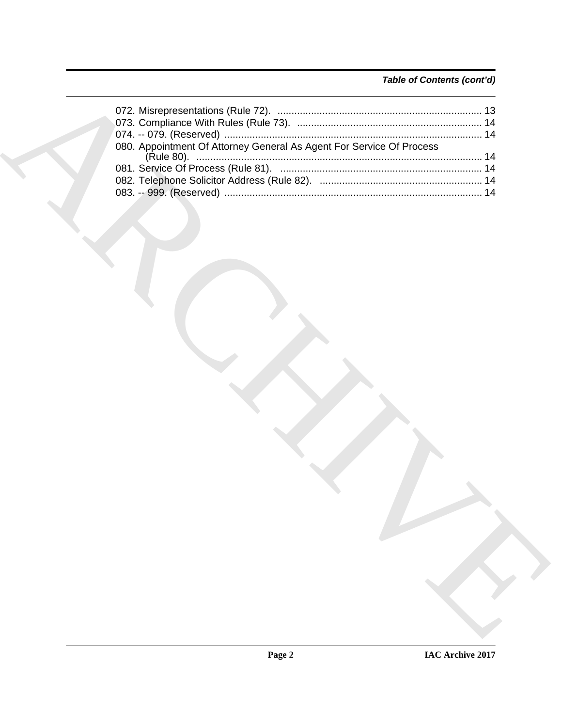# *Table of Contents (cont'd)*

| 080. Appointment Of Attorney General As Agent For Service Of Process |
|----------------------------------------------------------------------|
|                                                                      |
|                                                                      |
|                                                                      |
|                                                                      |
|                                                                      |
|                                                                      |
|                                                                      |
|                                                                      |
|                                                                      |
|                                                                      |
|                                                                      |
|                                                                      |
|                                                                      |
|                                                                      |
|                                                                      |
|                                                                      |
|                                                                      |
|                                                                      |
|                                                                      |
|                                                                      |
|                                                                      |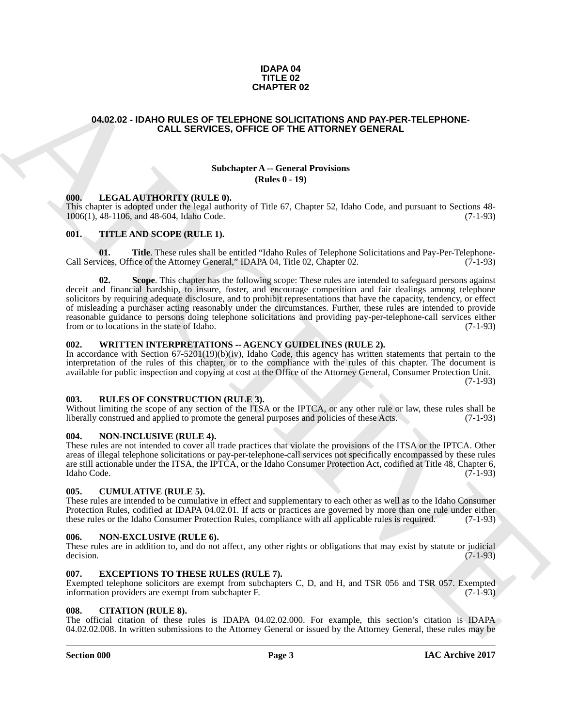#### **IDAPA 04 TITLE 02 CHAPTER 02**

### <span id="page-2-0"></span>**04.02.02 - IDAHO RULES OF TELEPHONE SOLICITATIONS AND PAY-PER-TELEPHONE-CALL SERVICES, OFFICE OF THE ATTORNEY GENERAL**

#### **Subchapter A -- General Provisions (Rules 0 - 19)**

#### <span id="page-2-1"></span>**000. LEGAL AUTHORITY (RULE 0).**

This chapter is adopted under the legal authority of Title 67, Chapter 52, Idaho Code, and pursuant to Sections 48- 1006(1), 48-1106, and 48-604, Idaho Code.

#### <span id="page-2-2"></span>**001. TITLE AND SCOPE (RULE 1).**

**01.** Title. These rules shall be entitled "Idaho Rules of Telephone Solicitations and Pay-Per-Telephone-<br>vices. Office of the Attorney General." IDAPA 04. Title 02. Chapter 02. (7-1-93) Call Services, Office of the Attorney General," IDAPA 04, Title 02, Chapter 02.

**CHARCES OF THE MATERIX CONTRACTIONS AND PAY-PER TELEPHONE<br>
CALL SERVICES, OF FICE OF THE ATTORNEY GENERAL<br>
Simbanger A - General Providence<br>
Simbanger A - General Providence<br>
The Material Research of the ATTORNEY (RITLE Scope**. This chapter has the following scope: These rules are intended to safeguard persons against deceit and financial hardship, to insure, foster, and encourage competition and fair dealings among telephone solicitors by requiring adequate disclosure, and to prohibit representations that have the capacity, tendency, or effect of misleading a purchaser acting reasonably under the circumstances. Further, these rules are intended to provide reasonable guidance to persons doing telephone solicitations and providing pay-per-telephone-call services either from or to locations in the state of Idaho. (7-1-93)

### <span id="page-2-3"></span>**002. WRITTEN INTERPRETATIONS -- AGENCY GUIDELINES (RULE 2).**

In accordance with Section  $67-5201(19)(b)(iv)$ , Idaho Code, this agency has written statements that pertain to the interpretation of the rules of this chapter, or to the compliance with the rules of this chapter. The document is available for public inspection and copying at cost at the Office of the Attorney General, Consumer Protection Unit.

 $(7-1-93)$ 

#### <span id="page-2-4"></span>**003. RULES OF CONSTRUCTION (RULE 3).**

Without limiting the scope of any section of the ITSA or the IPTCA, or any other rule or law, these rules shall be liberally construed and applied to promote the general purposes and policies of these Acts. (7-1-93)

#### <span id="page-2-5"></span>**004. NON-INCLUSIVE (RULE 4).**

These rules are not intended to cover all trade practices that violate the provisions of the ITSA or the IPTCA. Other areas of illegal telephone solicitations or pay-per-telephone-call services not specifically encompassed by these rules are still actionable under the ITSA, the IPTCA, or the Idaho Consumer Protection Act, codified at Title 48, Chapter 6,<br>(7-1-93) Idaho Code. (7-1-93)

#### <span id="page-2-6"></span>**005. CUMULATIVE (RULE 5).**

These rules are intended to be cumulative in effect and supplementary to each other as well as to the Idaho Consumer Protection Rules, codified at IDAPA 04.02.01. If acts or practices are governed by more than one rule under either these rules or the Idaho Consumer Protection Rules, compliance with all applicable rules is required. (7-1these rules or the Idaho Consumer Protection Rules, compliance with all applicable rules is required.

#### <span id="page-2-7"></span>**006. NON-EXCLUSIVE (RULE 6).**

These rules are in addition to, and do not affect, any other rights or obligations that may exist by statute or judicial decision. (7-1-93)  $\alpha$  decision. (7-1-93)

#### <span id="page-2-8"></span>**007. EXCEPTIONS TO THESE RULES (RULE 7).**

Exempted telephone solicitors are exempt from subchapters C, D, and H, and TSR 056 and TSR 057. Exempted information providers are exempt from subchapter F. (7-1-93)

#### <span id="page-2-9"></span>**008. CITATION (RULE 8).**

The official citation of these rules is IDAPA 04.02.02.000. For example, this section's citation is IDAPA 04.02.02.008. In written submissions to the Attorney General or issued by the Attorney General, these rules may be

#### **Section 000 Page 3**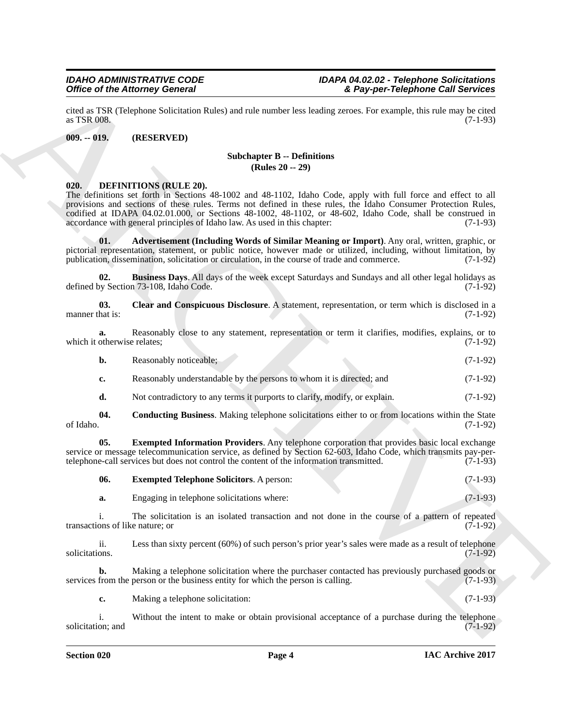cited as TSR (Telephone Solicitation Rules) and rule number less leading zeroes. For example, this rule may be cited  $\alpha$  as TSR 008. (7-1-93)

#### <span id="page-3-0"></span>**009. -- 019. (RESERVED)**

#### **Subchapter B -- Definitions (Rules 20 -- 29)**

#### <span id="page-3-1"></span>**020. DEFINITIONS (RULE 20).**

Office of the Attorney General Constraints and the transformation of the space of the same of the space of the same of the same of the same of the same of the same of the same of the same of the same of the same of the sa The definitions set forth in Sections 48-1002 and 48-1102, Idaho Code, apply with full force and effect to all provisions and sections of these rules. Terms not defined in these rules, the Idaho Consumer Protection Rules, codified at IDAPA 04.02.01.000, or Sections 48-1002, 48-1102, or 48-602, Idaho Code, shall be construed in accordance with general principles of Idaho law. As used in this chapter: (7-1-93) accordance with general principles of Idaho law. As used in this chapter:

<span id="page-3-2"></span>**01. Advertisement (Including Words of Similar Meaning or Import)**. Any oral, written, graphic, or pictorial representation, statement, or public notice, however made or utilized, including, without limitation, by publication, dissemination, solicitation or circulation, in the course of trade and commerce. (7-1-92)

<span id="page-3-3"></span>**02. Business Days**. All days of the week except Saturdays and Sundays and all other legal holidays as by Section 73-108, Idaho Code. (7-1-92) defined by Section 73-108, Idaho Code.

<span id="page-3-4"></span>**03. Clear and Conspicuous Disclosure**. A statement, representation, or term which is disclosed in a manner that is: (7-1-92)

**a.** Reasonably close to any statement, representation or term it clarifies, modifies, explains, or to otherwise relates: (7-1-92) which it otherwise relates;

| Reasonably noticeable: | $(7-1-92)$ |
|------------------------|------------|
|                        |            |

- **c.** Reasonably understandable by the persons to whom it is directed; and (7-1-92)
- <span id="page-3-6"></span><span id="page-3-5"></span>**d.** Not contradictory to any terms it purports to clarify, modify, or explain.  $(7-1-92)$

**04.** Conducting Business. Making telephone solicitations either to or from locations within the State of Idaho. (7-1-92) of Idaho. (7-1-92)

**05. Exempted Information Providers**. Any telephone corporation that provides basic local exchange service or message telecommunication service, as defined by Section 62-603, Idaho Code, which transmits pay-pertelephone-call services but does not control the content of the information transmitted. (7-1-93)

<span id="page-3-7"></span>

| -06.<br><b>Exempted Telephone Solicitors.</b> A person: |  | $(7-1-93)$ |
|---------------------------------------------------------|--|------------|
|---------------------------------------------------------|--|------------|

**a.** Engaging in telephone solicitations where: (7-1-93)

i. The solicitation is an isolated transaction and not done in the course of a pattern of repeated ons of like nature; or  $(7-1-92)$ transactions of like nature; or

ii. Less than sixty percent (60%) of such person's prior year's sales were made as a result of telephone solicitations. (7-1-92) solicitations. (7-1-92)

**b.** Making a telephone solicitation where the purchaser contacted has previously purchased goods or services from the person or the business entity for which the person is calling. (7-1-93)

**c.** Making a telephone solicitation: (7-1-93)

i. Without the intent to make or obtain provisional acceptance of a purchase during the telephone on; and  $(7-1-92)$ solicitation; and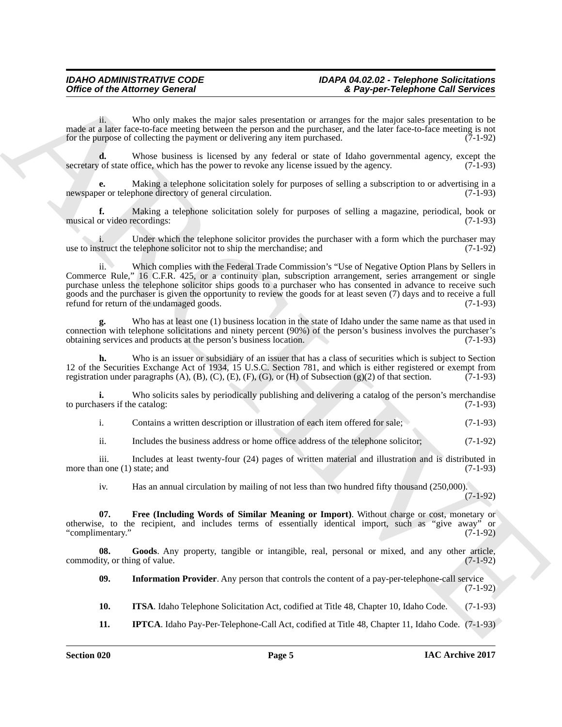ii. Who only makes the major sales presentation or arranges for the major sales presentation to be made at a later face-to-face meeting between the person and the purchaser, and the later face-to-face meeting is not<br>for the purpose of collecting the payment or delivering any item purchased. (7-1-92) for the purpose of collecting the payment or delivering any item purchased.

**d.** Whose business is licensed by any federal or state of Idaho governmental agency, except the *o* of state office, which has the power to revoke any license issued by the agency. (7-1-93) secretary of state office, which has the power to revoke any license issued by the agency.

**e.** Making a telephone solicitation solely for purposes of selling a subscription to or advertising in a newspaper or telephone directory of general circulation. (7-1-93)

**f.** Making a telephone solicitation solely for purposes of selling a magazine, periodical, book or or video recordings: (7-1-93) musical or video recordings:

i. Under which the telephone solicitor provides the purchaser with a form which the purchaser may struct the telephone solicitor not to ship the merchandise; and (7-1-92) use to instruct the telephone solicitor not to ship the merchandise; and

Office of the Attorney General interaction and presentation of Beyper-Telephrone Call Services<br>
math a line where the most presentation and presentation of any stars in the real of presentation in the same presentation in ii. Which complies with the Federal Trade Commission's "Use of Negative Option Plans by Sellers in Commerce Rule," 16 C.F.R. 425, or a continuity plan, subscription arrangement, series arrangement or single purchase unless the telephone solicitor ships goods to a purchaser who has consented in advance to receive such goods and the purchaser is given the opportunity to review the goods for at least seven (7) days and to receive a full refund for return of the undamaged goods.

**g.** Who has at least one (1) business location in the state of Idaho under the same name as that used in connection with telephone solicitations and ninety percent (90%) of the person's business involves the purchaser's obtaining services and products at the person's business location. (7-1-93)

Who is an issuer or subsidiary of an issuer that has a class of securities which is subject to Section 12 of the Securities Exchange Act of 1934, 15 U.S.C. Section 781, and which is either registered or exempt from registration under paragraphs (A), (B), (C), (E), (F), (G), or (H) of Subsection (g)(2) of that section. (7-1 registration under paragraphs  $(A)$ ,  $(B)$ ,  $(C)$ ,  $(E)$ ,  $(F)$ ,  $(G)$ , or  $(H)$  of Subsection  $(g)(2)$  of that section.

**i.** Who solicits sales by periodically publishing and delivering a catalog of the person's merchandise assers if the catalog: (7-1-93) to purchasers if the catalog:

i. Contains a written description or illustration of each item offered for sale; (7-1-93)

ii. Includes the business address or home office address of the telephone solicitor; (7-1-92)

iii. Includes at least twenty-four  $(24)$  pages of written material and illustration and is distributed in n one  $(1)$  state; and  $(7-1-93)$ more than one  $(1)$  state; and

<span id="page-4-0"></span>iv. Has an annual circulation by mailing of not less than two hundred fifty thousand (250,000). (7-1-92)

**07. Free (Including Words of Similar Meaning or Import)**. Without charge or cost, monetary or otherwise, to the recipient, and includes terms of essentially identical import, such as "give away" or "complimentary." (7-1-92)

**08.** Goods. Any property, tangible or intangible, real, personal or mixed, and any other article, (7-1-92) commodity, or thing of value.

<span id="page-4-2"></span><span id="page-4-1"></span>**09.** Information Provider. Any person that controls the content of a pay-per-telephone-call service (7-1-92)

<span id="page-4-4"></span>**10. ITSA**. Idaho Telephone Solicitation Act, codified at Title 48, Chapter 10, Idaho Code. (7-1-93)

<span id="page-4-3"></span>**11. IPTCA**. Idaho Pay-Per-Telephone-Call Act, codified at Title 48, Chapter 11, Idaho Code. (7-1-93)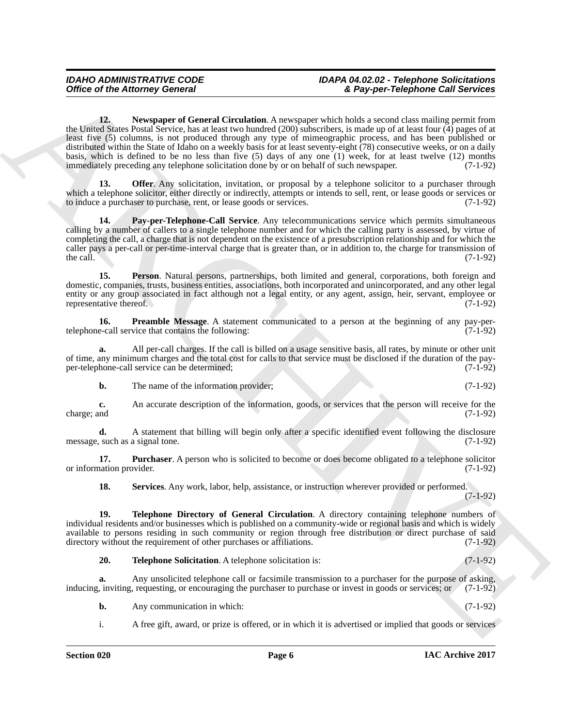Office of the Attorney General Control Control Control Control Control Control Control Control Control Control Control Control Control Control Control Control Control Control Control Control Control Control Control Contro **12. Newspaper of General Circulation**. A newspaper which holds a second class mailing permit from the United States Postal Service, has at least two hundred (200) subscribers, is made up of at least four (4) pages of at least five (5) columns, is not produced through any type of mimeographic process, and has been published or distributed within the State of Idaho on a weekly basis for at least seventy-eight (78) consecutive weeks, or on a daily basis, which is defined to be no less than five (5) days of any one (1) week, for at least twelve (12) months immediately preceding any telephone solicitation done by or on behalf of such newspaper. (7-1-92) immediately preceding any telephone solicitation done by or on behalf of such newspaper.

<span id="page-5-1"></span><span id="page-5-0"></span>**13. Offer.** Any solicitation, invitation, or proposal by a telephone solicitor to a purchaser through which a telephone solicitor, either directly or indirectly, attempts or intends to sell, rent, or lease goods or services or to induce a purchaser to purchase, rent, or lease goods or services. (7-1-92)

<span id="page-5-2"></span>**14. Pay-per-Telephone-Call Service**. Any telecommunications service which permits simultaneous calling by a number of callers to a single telephone number and for which the calling party is assessed, by virtue of completing the call, a charge that is not dependent on the existence of a presubscription relationship and for which the caller pays a per-call or per-time-interval charge that is greater than, or in addition to, the charge for transmission of the call. (7-1-92) the call.  $(7-1-92)$ 

<span id="page-5-3"></span>**15. Person**. Natural persons, partnerships, both limited and general, corporations, both foreign and domestic, companies, trusts, business entities, associations, both incorporated and unincorporated, and any other legal entity or any group associated in fact although not a legal entity, or any agent, assign, heir, servant, employee or representative thereof. (7-1-92) representative thereof.

<span id="page-5-4"></span>**16. Preamble Message**. A statement communicated to a person at the beginning of any pay-pertelephone-call service that contains the following: (7-1-92)

**a.** All per-call charges. If the call is billed on a usage sensitive basis, all rates, by minute or other unit of time, any minimum charges and the total cost for calls to that service must be disclosed if the duration of the payper-telephone-call service can be determined;

**b.** The name of the information provider; (7-1-92)

**c.** An accurate description of the information, goods, or services that the person will receive for the charge; and (7-1-92) charge; and (7-1-92)

**d.** A statement that billing will begin only after a specific identified event following the disclosure such as a signal tone. (7-1-92) message, such as a signal tone.

**17. Purchaser**. A person who is solicited to become or does become obligated to a telephone solicitor (7-1-92) or information provider.

<span id="page-5-7"></span><span id="page-5-6"></span><span id="page-5-5"></span>**18. Services**. Any work, labor, help, assistance, or instruction wherever provided or performed. (7-1-92)

**19. Telephone Directory of General Circulation**. A directory containing telephone numbers of individual residents and/or businesses which is published on a community-wide or regional basis and which is widely available to persons residing in such community or region through free distribution or direct purchase of said directory without the requirement of other purchases or affiliations. (7-1-92)

<span id="page-5-8"></span>**20. Telephone Solicitation**. A telephone solicitation is: (7-1-92)

**a.** Any unsolicited telephone call or facsimile transmission to a purchaser for the purpose of asking, inviting, requesting, or encouraging the purchaser to purchase or invest in goods or services; or (7-1-92) inducing, inviting, requesting, or encouraging the purchaser to purchase or invest in goods or services; or

- **b.** Any communication in which: (7-1-92)
- i. A free gift, award, or prize is offered, or in which it is advertised or implied that goods or services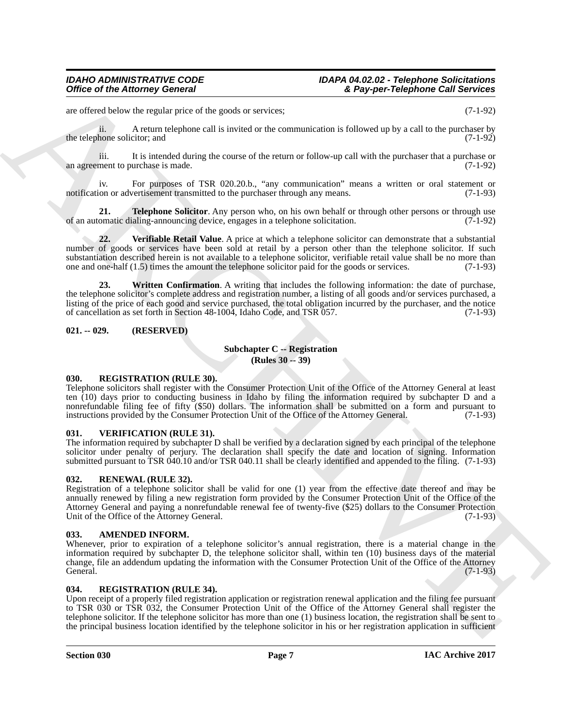are offered below the regular price of the goods or services; (7-1-92)

ii. A return telephone call is invited or the communication is followed up by a call to the purchaser by the telephone solicitor; and  $(7-1-92)$ 

iii. It is intended during the course of the return or follow-up call with the purchaser that a purchase or<br>(7-1-92) an agreement to purchase is made.

iv. For purposes of TSR 020.20.b., "any communication" means a written or oral statement or notification or advertisement transmitted to the purchaser through any means. (7-1-93)

<span id="page-6-7"></span>**21. Telephone Solicitor**. Any person who, on his own behalf or through other persons or through use omatic dialing-announcing device, engages in a telephone solicitation. (7-1-92) of an automatic dialing-announcing device, engages in a telephone solicitation.

<span id="page-6-9"></span><span id="page-6-8"></span>**22. Verifiable Retail Value**. A price at which a telephone solicitor can demonstrate that a substantial number of goods or services have been sold at retail by a person other than the telephone solicitor. If such substantiation described herein is not available to a telephone solicitor, verifiable retail value shall be no more than one and one-half  $(1.5)$  times the amount the telephone solicitor paid for the goods or services.  $($ one and one-half  $(1.5)$  times the amount the telephone solicitor paid for the goods or services.

Office of the Attorney General  $\frac{2}{3}$ <br>
are the baseline tractional prior of the state in a stretches.<br>
The Victoria material prior of the State in the State of the State of the State of the State of the State of the St **23. Written Confirmation**. A writing that includes the following information: the date of purchase, the telephone solicitor's complete address and registration number, a listing of all goods and/or services purchased, a listing of the price of each good and service purchased, the total obligation incurred by the purchaser, and the notice of cancellation as set forth in Section 48-1004, Idaho Code, and TSR 057. (7-1-93)

### <span id="page-6-0"></span>**021. -- 029. (RESERVED)**

### **Subchapter C -- Registration (Rules 30 -- 39)**

### <span id="page-6-10"></span><span id="page-6-1"></span>**030. REGISTRATION (RULE 30).**

Telephone solicitors shall register with the Consumer Protection Unit of the Office of the Attorney General at least ten (10) days prior to conducting business in Idaho by filing the information required by subchapter D and a nonrefundable filing fee of fifty (\$50) dollars. The information shall be submitted on a form and pursuant to instructions provided by the Consumer Protection Unit of the Office of the Attorney General. (7-1-93)

#### <span id="page-6-13"></span><span id="page-6-2"></span>**031. VERIFICATION (RULE 31).**

The information required by subchapter D shall be verified by a declaration signed by each principal of the telephone solicitor under penalty of perjury. The declaration shall specify the date and location of signing. Information submitted pursuant to TSR 040.10 and/or TSR 040.11 shall be clearly identified and appended to the filing. (7-1-93)

# <span id="page-6-12"></span><span id="page-6-3"></span>**032. RENEWAL (RULE 32).**

Registration of a telephone solicitor shall be valid for one (1) year from the effective date thereof and may be annually renewed by filing a new registration form provided by the Consumer Protection Unit of the Office of the Attorney General and paying a nonrefundable renewal fee of twenty-five (\$25) dollars to the Consumer Protection Unit of the Office of the Attorney General. (7-1-93)

#### <span id="page-6-6"></span><span id="page-6-4"></span>**033. AMENDED INFORM.**

Whenever, prior to expiration of a telephone solicitor's annual registration, there is a material change in the information required by subchapter D, the telephone solicitor shall, within ten (10) business days of the material change, file an addendum updating the information with the Consumer Protection Unit of the Office of the Attorney General. (7-1-93)

# <span id="page-6-11"></span><span id="page-6-5"></span>**034. REGISTRATION (RULE 34).**

Upon receipt of a properly filed registration application or registration renewal application and the filing fee pursuant to TSR 030 or TSR 032, the Consumer Protection Unit of the Office of the Attorney General shall register the telephone solicitor. If the telephone solicitor has more than one (1) business location, the registration shall be sent to the principal business location identified by the telephone solicitor in his or her registration application in sufficient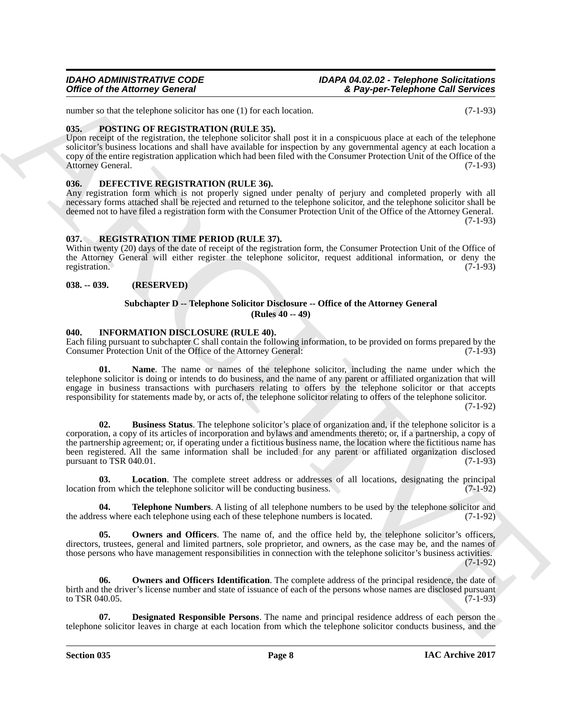number so that the telephone solicitor has one (1) for each location. (7-1-93)

### <span id="page-7-13"></span><span id="page-7-0"></span>**035. POSTING OF REGISTRATION (RULE 35).**

Upon receipt of the registration, the telephone solicitor shall post it in a conspicuous place at each of the telephone solicitor's business locations and shall have available for inspection by any governmental agency at each location a copy of the entire registration application which had been filed with the Consumer Protection Unit of the Office of the Attorney General. (7-1-93) Attorney General.

### <span id="page-7-5"></span><span id="page-7-1"></span>**036. DEFECTIVE REGISTRATION (RULE 36).**

Any registration form which is not properly signed under penalty of perjury and completed properly with all necessary forms attached shall be rejected and returned to the telephone solicitor, and the telephone solicitor shall be deemed not to have filed a registration form with the Consumer Protection Unit of the Office of the Attorney General.

(7-1-93)

# <span id="page-7-14"></span><span id="page-7-2"></span>**037. REGISTRATION TIME PERIOD (RULE 37).**

Within twenty (20) days of the date of receipt of the registration form, the Consumer Protection Unit of the Office of the Attorney General will either register the telephone solicitor, request additional information, or deny the registration. (7-1-93) registration. (7-1-93)

### <span id="page-7-3"></span>**038. -- 039. (RESERVED)**

#### <span id="page-7-15"></span><span id="page-7-9"></span>**Subchapter D -- Telephone Solicitor Disclosure -- Office of the Attorney General (Rules 40 -- 49)**

### <span id="page-7-4"></span>**040. INFORMATION DISCLOSURE (RULE 40).**

Each filing pursuant to subchapter C shall contain the following information, to be provided on forms prepared by the Consumer Protection Unit of the Office of the Attorney General: (7-1-93)

<span id="page-7-6"></span>**01. Name**. The name or names of the telephone solicitor, including the name under which the telephone solicitor is doing or intends to do business, and the name of any parent or affiliated organization that will engage in business transactions with purchasers relating to offers by the telephone solicitor or that accepts responsibility for statements made by, or acts of, the telephone solicitor relating to offers of the telephone solicitor.

(7-1-92)

Office of the Attorney General<br>
and the chypter of the Counter and Theorem and The Counter and The Counter and The Counter and The Counter and The Counter and The Counter and The Counter and The Counter and The Counter an **02. Business Status**. The telephone solicitor's place of organization and, if the telephone solicitor is a corporation, a copy of its articles of incorporation and bylaws and amendments thereto; or, if a partnership, a copy of the partnership agreement; or, if operating under a fictitious business name, the location where the fictitious name has been registered. All the same information shall be included for any parent or affiliated organization disclosed pursuant to TSR 040.01.  $(7-1-93)$ 

<span id="page-7-8"></span>**03.** Location. The complete street address or addresses of all locations, designating the principal from which the telephone solicitor will be conducting business. location from which the telephone solicitor will be conducting business.

<span id="page-7-12"></span>**04. Telephone Numbers**. A listing of all telephone numbers to be used by the telephone solicitor and set where each telephone using each of these telephone numbers is located. (7-1-92) the address where each telephone using each of these telephone numbers is located.

<span id="page-7-10"></span>**05.** Owners and Officers. The name of, and the office held by, the telephone solicitor's officers, directors, trustees, general and limited partners, sole proprietor, and owners, as the case may be, and the names of those persons who have management responsibilities in connection with the telephone solicitor's business activities.  $(7-1-92)$ 

<span id="page-7-11"></span>**Owners and Officers Identification**. The complete address of the principal residence, the date of birth and the driver's license number and state of issuance of each of the persons whose names are disclosed pursuant to TSR 040.05.  $(7-1-93)$ 

<span id="page-7-7"></span>**07. Designated Responsible Persons**. The name and principal residence address of each person the telephone solicitor leaves in charge at each location from which the telephone solicitor conducts business, and the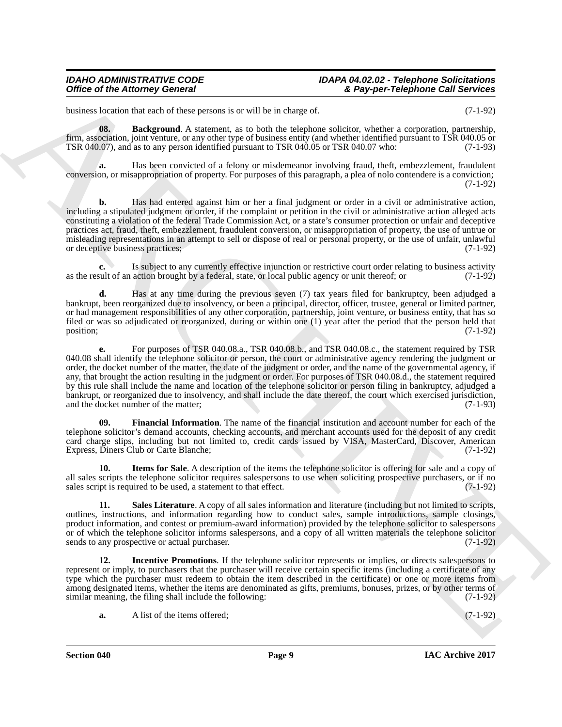business location that each of these persons is or will be in charge of. (7-1-92)

<span id="page-8-0"></span>**08.** Background. A statement, as to both the telephone solicitor, whether a corporation, partnership, firm, association, joint venture, or any other type of business entity (and whether identified pursuant to TSR 040.05 or TSR 040.07 who: (7-1-93) TSR 040.07), and as to any person identified pursuant to TSR 040.05 or TSR 040.07 who:

**a.** Has been convicted of a felony or misdemeanor involving fraud, theft, embezzlement, fraudulent conversion, or misappropriation of property. For purposes of this paragraph, a plea of nolo contendere is a conviction; (7-1-92)

**b.** Has had entered against him or her a final judgment or order in a civil or administrative action, including a stipulated judgment or order, if the complaint or petition in the civil or administrative action alleged acts constituting a violation of the federal Trade Commission Act, or a state's consumer protection or unfair and deceptive practices act, fraud, theft, embezzlement, fraudulent conversion, or misappropriation of property, the use of untrue or misleading representations in an attempt to sell or dispose of real or personal property, or the use of unfair, unlawful or deceptive business practices; (7-1-92)

**c.** Is subject to any currently effective injunction or restrictive court order relating to business activity as the result of an action brought by a federal, state, or local public agency or unit thereof; or (7-1-92)

**d.** Has at any time during the previous seven (7) tax years filed for bankruptcy, been adjudged a bankrupt, been reorganized due to insolvency, or been a principal, director, officer, trustee, general or limited partner, or had management responsibilities of any other corporation, partnership, joint venture, or business entity, that has so filed or was so adjudicated or reorganized, during or within one (1) year after the period that the person held that position; (7-1-92)

Office of the Attorney General solution of the base state of Support Telephone Call Sevience<br>
Final solution and the state of the state of the state of the state of the state of the state of the state of the state of the **e.** For purposes of TSR 040.08.a., TSR 040.08.b., and TSR 040.08.c., the statement required by TSR 040.08 shall identify the telephone solicitor or person, the court or administrative agency rendering the judgment or order, the docket number of the matter, the date of the judgment or order, and the name of the governmental agency, if any, that brought the action resulting in the judgment or order. For purposes of TSR 040.08.d., the statement required by this rule shall include the name and location of the telephone solicitor or person filing in bankruptcy, adjudged a bankrupt, or reorganized due to insolvency, and shall include the date thereof, the court which exercised jurisdiction, and the docket number of the matter;

<span id="page-8-1"></span>**09. Financial Information**. The name of the financial institution and account number for each of the telephone solicitor's demand accounts, checking accounts, and merchant accounts used for the deposit of any credit card charge slips, including but not limited to, credit cards issued by VISA, MasterCard, Discover, American Express, Diners Club or Carte Blanche; (7-1-92)

<span id="page-8-3"></span>**10. Items for Sale**. A description of the items the telephone solicitor is offering for sale and a copy of all sales scripts the telephone solicitor requires salespersons to use when soliciting prospective purchasers, or if no sales script is required to be used, a statement to that effect.  $(7-1-92)$ sales script is required to be used, a statement to that effect.

<span id="page-8-4"></span>**11. Sales Literature**. A copy of all sales information and literature (including but not limited to scripts, outlines, instructions, and information regarding how to conduct sales, sample introductions, sample closings, product information, and contest or premium-award information) provided by the telephone solicitor to salespersons or of which the telephone solicitor informs salespersons, and a copy of all written materials the telephone solicitor sends to any prospective or actual purchaser. (7-1-92)

<span id="page-8-2"></span>**12. Incentive Promotions**. If the telephone solicitor represents or implies, or directs salespersons to represent or imply, to purchasers that the purchaser will receive certain specific items (including a certificate of any type which the purchaser must redeem to obtain the item described in the certificate) or one or more items from among designated items, whether the items are denominated as gifts, premiums, bonuses, prizes, or by other terms of similar meaning, the filing shall include the following: (7-1-92)

**a.** A list of the items offered; (7-1-92)

**Section 040 Page 9**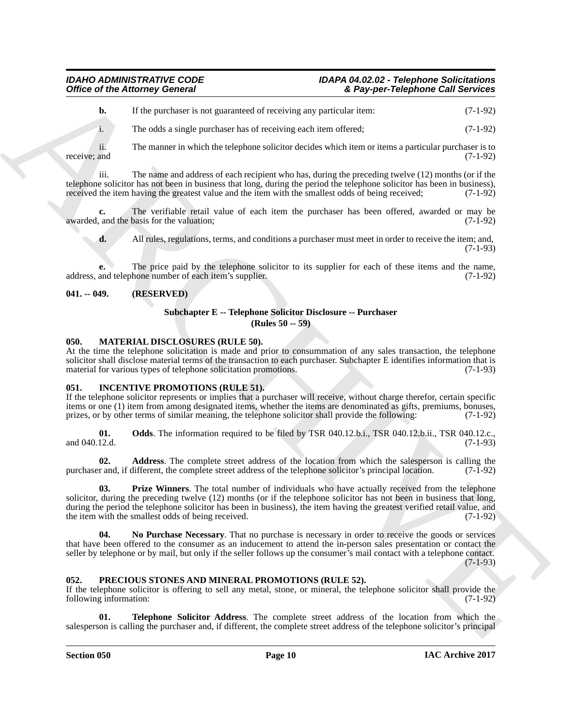**b.** If the purchaser is not guaranteed of receiving any particular item: (7-1-92)

i. The odds a single purchaser has of receiving each item offered; (7-1-92)

ii. The manner in which the telephone solicitor decides which item or items a particular purchaser is to receive; and (7-1-92)

iii. The name and address of each recipient who has, during the preceding twelve (12) months (or if the telephone solicitor has not been in business that long, during the period the telephone solicitor has been in business), received the item having the greatest value and the item with the smallest odds of being received; (7-1-92)

The verifiable retail value of each item the purchaser has been offered, awarded or may be basis for the valuation; (7-1-92) awarded, and the basis for the valuation;

**d.** All rules, regulations, terms, and conditions a purchaser must meet in order to receive the item; and, (7-1-93)

**e.** The price paid by the telephone solicitor to its supplier for each of these items and the name, address, and telephone number of each item's supplier. (7-1-92)

### <span id="page-9-0"></span>**041. -- 049. (RESERVED)**

### <span id="page-9-10"></span>**Subchapter E -- Telephone Solicitor Disclosure -- Purchaser (Rules 50 -- 59)**

### <span id="page-9-8"></span><span id="page-9-1"></span>**050. MATERIAL DISCLOSURES (RULE 50).**

At the time the telephone solicitation is made and prior to consummation of any sales transaction, the telephone solicitor shall disclose material terms of the transaction to each purchaser. Subchapter E identifies information that is material for various types of telephone solicitation promotions. (7-1-93)

#### <span id="page-9-2"></span>**051. INCENTIVE PROMOTIONS (RULE 51).**

If the telephone solicitor represents or implies that a purchaser will receive, without charge therefor, certain specific items or one (1) item from among designated items, whether the items are denominated as gifts, premiums, bonuses, prizes, or by other terms of similar meaning, the telephone solicitor shall provide the following: (7-1-92)

<span id="page-9-6"></span>**01.** Odds. The information required to be filed by TSR 040.12.b.i., TSR 040.12.b.ii., TSR 040.12.c., and 040.12.d. and 040.12.d. (7-1-93)

<span id="page-9-7"></span><span id="page-9-4"></span>**02. Address**. The complete street address of the location from which the salesperson is calling the r and, if different, the complete street address of the telephone solicitor's principal location. (7-1-92) purchaser and, if different, the complete street address of the telephone solicitor's principal location.

Office of the Attorney General variants of Asymper-Telephrone Call Sevinces<br>
(a) the probability is a symmetric order which the relations of the California of the California California (3)<br>
(b) the main of the Section of **03. Prize Winners**. The total number of individuals who have actually received from the telephone solicitor, during the preceding twelve (12) months (or if the telephone solicitor has not been in business that long, during the period the telephone solicitor has been in business), the item having the greatest verified retail value, and the item with the smallest odds of being received. (7-1-92)

<span id="page-9-5"></span>**04. No Purchase Necessary**. That no purchase is necessary in order to receive the goods or services that have been offered to the consumer as an inducement to attend the in-person sales presentation or contact the seller by telephone or by mail, but only if the seller follows up the consumer's mail contact with a telephone contact. (7-1-93)

#### <span id="page-9-3"></span>**052. PRECIOUS STONES AND MINERAL PROMOTIONS (RULE 52).**

If the telephone solicitor is offering to sell any metal, stone, or mineral, the telephone solicitor shall provide the following information: (7-1-92)

<span id="page-9-9"></span>**01. Telephone Solicitor Address**. The complete street address of the location from which the salesperson is calling the purchaser and, if different, the complete street address of the telephone solicitor's principal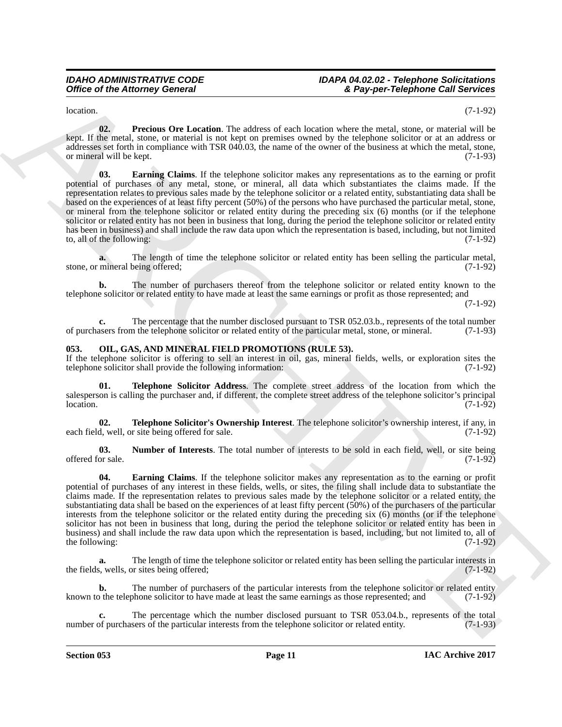<span id="page-10-6"></span> $\lambda$  location. (7-1-92)

<span id="page-10-5"></span>**02. Precious Ore Location**. The address of each location where the metal, stone, or material will be kept. If the metal, stone, or material is not kept on premises owned by the telephone solicitor or at an address or addresses set forth in compliance with TSR 040.03, the name of the owner of the business at which the metal, stone, or mineral will be kept. (7-1-93)

Office of the Attorney General<br>
Neutron Can Leading To address of each bands when the state and the state of the state and the state of the state and the state of the state of the state of the state of the state of the st **03. Earning Claims**. If the telephone solicitor makes any representations as to the earning or profit potential of purchases of any metal, stone, or mineral, all data which substantiates the claims made. If the representation relates to previous sales made by the telephone solicitor or a related entity, substantiating data shall be based on the experiences of at least fifty percent (50%) of the persons who have purchased the particular metal, stone, or mineral from the telephone solicitor or related entity during the preceding six (6) months (or if the telephone solicitor or related entity has not been in business that long, during the period the telephone solicitor or related entity has been in business) and shall include the raw data upon which the representation is based, including, but not limited to, all of the following:  $(7-1-92)$ 

**a.** The length of time the telephone solicitor or related entity has been selling the particular metal, mineral being offered; (7-1-92) stone, or mineral being offered;

**b.** The number of purchasers thereof from the telephone solicitor or related entity known to the telephone solicitor or related entity to have made at least the same earnings or profit as those represented; and

(7-1-92)

**c.** The percentage that the number disclosed pursuant to TSR 052.03.b., represents of the total number of purchasers from the telephone solicitor or related entity of the particular metal, stone, or mineral. (7-1-93)

#### <span id="page-10-0"></span>**053. OIL, GAS, AND MINERAL FIELD PROMOTIONS (RULE 53).**

If the telephone solicitor is offering to sell an interest in oil, gas, mineral fields, wells, or exploration sites the telephone solicitor shall provide the following information: (7-1-92)

<span id="page-10-3"></span>**01. Telephone Solicitor Address**. The complete street address of the location from which the salesperson is calling the purchaser and, if different, the complete street address of the telephone solicitor's principal location. (7-1-92)  $location.$  (7-1-92)

<span id="page-10-4"></span>**02. Telephone Solicitor's Ownership Interest**. The telephone solicitor's ownership interest, if any, in d, well, or site being offered for sale. (7-1-92) each field, well, or site being offered for sale.

<span id="page-10-2"></span>**03. Number of Interests**. The total number of interests to be sold in each field, well, or site being or sale. (7-1-92) offered for sale.

<span id="page-10-1"></span>**04. Earning Claims**. If the telephone solicitor makes any representation as to the earning or profit potential of purchases of any interest in these fields, wells, or sites, the filing shall include data to substantiate the claims made. If the representation relates to previous sales made by the telephone solicitor or a related entity, the substantiating data shall be based on the experiences of at least fifty percent (50%) of the purchasers of the particular interests from the telephone solicitor or the related entity during the preceding six (6) months (or if the telephone solicitor has not been in business that long, during the period the telephone solicitor or related entity has been in business) and shall include the raw data upon which the representation is based, including, but not limited to, all of the following:  $(7-1-92)$ 

**a.** The length of time the telephone solicitor or related entity has been selling the particular interests in s, wells, or sites being offered; (7-1-92) the fields, wells, or sites being offered;

**b.** The number of purchasers of the particular interests from the telephone solicitor or related entity known to the telephone solicitor to have made at least the same earnings as those represented; and (7-1-92)

The percentage which the number disclosed pursuant to TSR 053.04.b., represents of the total sers of the particular interests from the telephone solicitor or related entity. (7-1-93) number of purchasers of the particular interests from the telephone solicitor or related entity.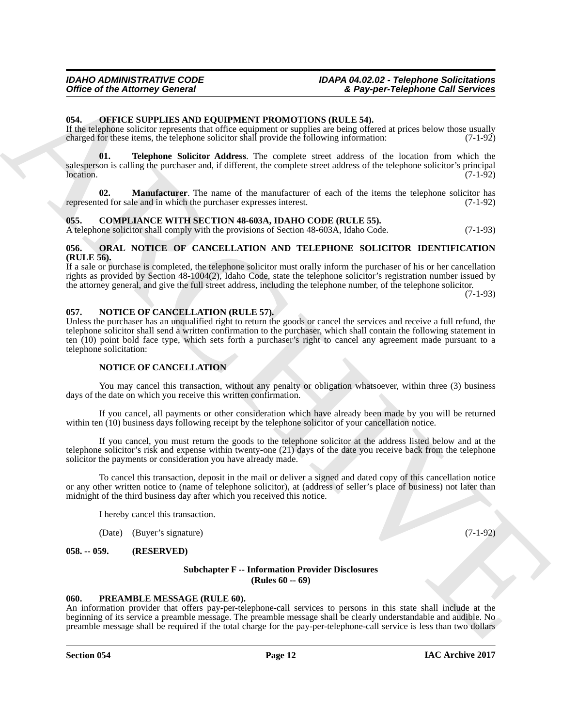#### <span id="page-11-0"></span>**054. OFFICE SUPPLIES AND EQUIPMENT PROMOTIONS (RULE 54).**

If the telephone solicitor represents that office equipment or supplies are being offered at prices below those usually charged for these items, the telephone solicitor shall provide the following information: (7-1-92) charged for these items, the telephone solicitor shall provide the following information:

<span id="page-11-10"></span>**01. Telephone Solicitor Address**. The complete street address of the location from which the salesperson is calling the purchaser and, if different, the complete street address of the telephone solicitor's principal<br>(7-1-92)  $location.$  (7-1-92)

<span id="page-11-9"></span>**Manufacturer**. The name of the manufacturer of each of the items the telephone solicitor has le and in which the purchaser expresses interest. (7-1-92) represented for sale and in which the purchaser expresses interest.

#### <span id="page-11-6"></span><span id="page-11-1"></span>**055. COMPLIANCE WITH SECTION 48-603A, IDAHO CODE (RULE 55).**

A telephone solicitor shall comply with the provisions of Section 48-603A, Idaho Code. (7-1-93)

#### <span id="page-11-11"></span><span id="page-11-2"></span>**056. ORAL NOTICE OF CANCELLATION AND TELEPHONE SOLICITOR IDENTIFICATION (RULE 56).**

If a sale or purchase is completed, the telephone solicitor must orally inform the purchaser of his or her cancellation rights as provided by Section 48-1004(2), Idaho Code, state the telephone solicitor's registration number issued by the attorney general, and give the full street address, including the telephone number, of the telephone solicitor.

(7-1-93)

#### <span id="page-11-8"></span><span id="page-11-3"></span>**057. NOTICE OF CANCELLATION (RULE 57).**

Office of the Attorney General Company and DVD (1997) and Taylor Telescope and the System Company of the Attorney Company and the System of the System of the System of the System of the System of the System of the System Unless the purchaser has an unqualified right to return the goods or cancel the services and receive a full refund, the telephone solicitor shall send a written confirmation to the purchaser, which shall contain the following statement in ten (10) point bold face type, which sets forth a purchaser's right to cancel any agreement made pursuant to a telephone solicitation:

#### **NOTICE OF CANCELLATION**

You may cancel this transaction, without any penalty or obligation whatsoever, within three (3) business days of the date on which you receive this written confirmation.

If you cancel, all payments or other consideration which have already been made by you will be returned within ten (10) business days following receipt by the telephone solicitor of your cancellation notice.

If you cancel, you must return the goods to the telephone solicitor at the address listed below and at the telephone solicitor's risk and expense within twenty-one (21) days of the date you receive back from the telephone solicitor the payments or consideration you have already made.

To cancel this transaction, deposit in the mail or deliver a signed and dated copy of this cancellation notice or any other written notice to (name of telephone solicitor), at (address of seller's place of business) not later than midnight of the third business day after which you received this notice.

I hereby cancel this transaction.

(Date) (Buyer's signature) (7-1-92)

<span id="page-11-4"></span>**058. -- 059. (RESERVED)**

#### <span id="page-11-7"></span>**Subchapter F -- Information Provider Disclosures (Rules 60 -- 69)**

#### <span id="page-11-12"></span><span id="page-11-5"></span>**060. PREAMBLE MESSAGE (RULE 60).**

An information provider that offers pay-per-telephone-call services to persons in this state shall include at the beginning of its service a preamble message. The preamble message shall be clearly understandable and audible. No preamble message shall be required if the total charge for the pay-per-telephone-call service is less than two dollars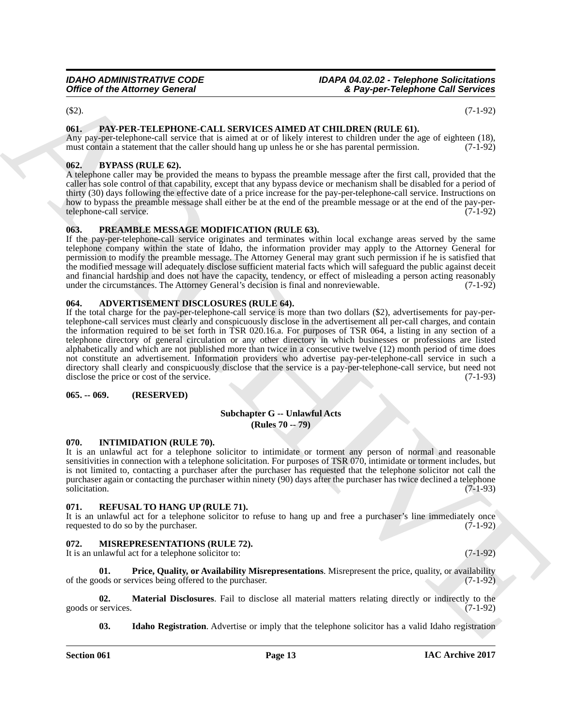$(32).$  (32).

# <span id="page-12-14"></span><span id="page-12-0"></span>**061. PAY-PER-TELEPHONE-CALL SERVICES AIMED AT CHILDREN (RULE 61).**

Any pay-per-telephone-call service that is aimed at or of likely interest to children under the age of eighteen (18), must contain a statement that the caller should hang up unless he or she has parental permission. (7-1-92)

# <span id="page-12-9"></span><span id="page-12-1"></span>**062. BYPASS (RULE 62).**

A telephone caller may be provided the means to bypass the preamble message after the first call, provided that the caller has sole control of that capability, except that any bypass device or mechanism shall be disabled for a period of thirty (30) days following the effective date of a price increase for the pay-per-telephone-call service. Instructions on how to bypass the preamble message shall either be at the end of the preamble message or at the end of the pay-per-<br>telephone-call service. (7-1-92) telephone-call service.

# <span id="page-12-15"></span><span id="page-12-2"></span>**063. PREAMBLE MESSAGE MODIFICATION (RULE 63).**

If the pay-per-telephone-call service originates and terminates within local exchange areas served by the same telephone company within the state of Idaho, the information provider may apply to the Attorney General for permission to modify the preamble message. The Attorney General may grant such permission if he is satisfied that the modified message will adequately disclose sufficient material facts which will safeguard the public against deceit and financial hardship and does not have the capacity, tendency, or effect of misleading a person acting reasonably under the circumstances. The Attorney General's decision is final and nonreviewable. (7-1-92)

# <span id="page-12-8"></span><span id="page-12-3"></span>**064. ADVERTISEMENT DISCLOSURES (RULE 64).**

Office of the Attorney General  $\epsilon$  (Eq. 2)  $\epsilon$  (Eq. 2)  $\epsilon$  (Eq. 2)  $\epsilon$  (Eq. 2)  $\epsilon$  (Eq. 2)  $\epsilon$  (Eq. 2)  $\epsilon$  (Eq. 2)  $\epsilon$  (Eq. 2)  $\epsilon$  (Eq. 2)  $\epsilon$  (Eq. 2)  $\epsilon$  (Eq. 2)  $\epsilon$  (Eq. 2)  $\epsilon$  (Eq. 2)  $\epsilon$  (Eq. 2)  $\epsilon$  (Eq If the total charge for the pay-per-telephone-call service is more than two dollars (\$2), advertisements for pay-pertelephone-call services must clearly and conspicuously disclose in the advertisement all per-call charges, and contain the information required to be set forth in TSR 020.16.a. For purposes of TSR 064, a listing in any section of a telephone directory of general circulation or any other directory in which businesses or professions are listed alphabetically and which are not published more than twice in a consecutive twelve (12) month period of time does not constitute an advertisement. Information providers who advertise pay-per-telephone-call service in such a directory shall clearly and conspicuously disclose that the service is a pay-per-telephone-call service, but need not disclose the price or cost of the service. (7-1-93) disclose the price or cost of the service.

#### <span id="page-12-4"></span>**065. -- 069. (RESERVED)**

#### <span id="page-12-17"></span>**Subchapter G -- Unlawful Acts (Rules 70 -- 79)**

#### <span id="page-12-10"></span><span id="page-12-5"></span>**070. INTIMIDATION (RULE 70).**

It is an unlawful act for a telephone solicitor to intimidate or torment any person of normal and reasonable sensitivities in connection with a telephone solicitation. For purposes of TSR 070, intimidate or torment includes, but is not limited to, contacting a purchaser after the purchaser has requested that the telephone solicitor not call the purchaser again or contacting the purchaser within ninety (90) days after the purchaser has twice declined a telephone solicitation. (7-1-93) solicitation. (7-1-93)

#### <span id="page-12-16"></span><span id="page-12-6"></span>**071. REFUSAL TO HANG UP (RULE 71).**

It is an unlawful act for a telephone solicitor to refuse to hang up and free a purchaser's line immediately once requested to do so by the purchaser. (7-1-92) requested to do so by the purchaser.

# <span id="page-12-7"></span>**072. MISREPRESENTATIONS (RULE 72).**

<span id="page-12-13"></span>It is an unlawful act for a telephone solicitor to: (7-1-92)

**01. Price, Quality, or Availability Misrepresentations**. Misrepresent the price, quality, or availability of the goods or services being offered to the purchaser. (7-1-92)

**02. Material Disclosures**. Fail to disclose all material matters relating directly or indirectly to the goods or services. (7-1-92)

<span id="page-12-12"></span><span id="page-12-11"></span>**03.** Idaho Registration. Advertise or imply that the telephone solicitor has a valid Idaho registration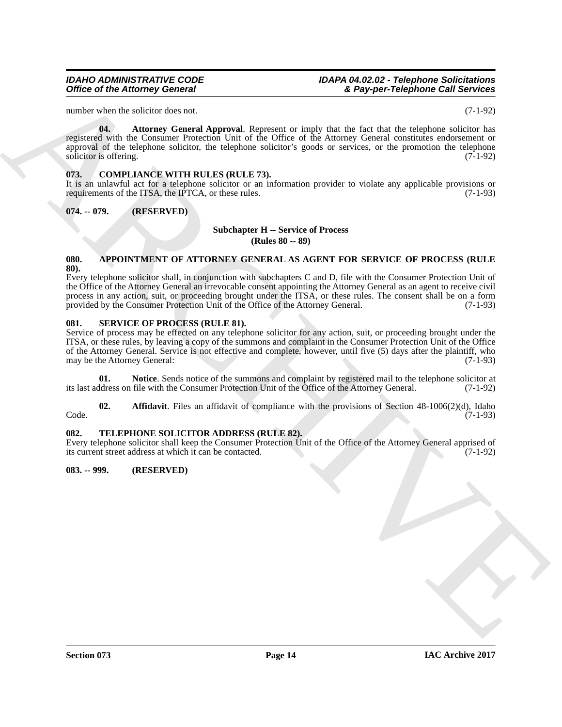number when the solicitor does not. (7-1-92)

<span id="page-13-8"></span>**04.** Attorney General Approval. Represent or imply that the fact that the telephone solicitor has registered with the Consumer Protection Unit of the Office of the Attorney General constitutes endorsement or approval of the telephone solicitor, the telephone solicitor's goods or services, or the promotion the telephone solicitor is offering. (7-1-92)

# <span id="page-13-7"></span><span id="page-13-0"></span>**073. COMPLIANCE WITH RULES (RULE 73).**

It is an unlawful act for a telephone solicitor or an information provider to violate any applicable provisions or requirements of the ITSA, the IPTCA, or these rules. (7-1-93)

# <span id="page-13-1"></span>**074. -- 079. (RESERVED)**

# **Subchapter H -- Service of Process**

**(Rules 80 -- 89)**

#### <span id="page-13-6"></span><span id="page-13-2"></span>**080. APPOINTMENT OF ATTORNEY GENERAL AS AGENT FOR SERVICE OF PROCESS (RULE 80).**

Office of the Attorney General<br>
and the Attorney General<br>
and the Attorney General Approximation of the Company of the Control of the Control of the Control of the Control of the Control of the Control of the Control of t Every telephone solicitor shall, in conjunction with subchapters C and D, file with the Consumer Protection Unit of the Office of the Attorney General an irrevocable consent appointing the Attorney General as an agent to receive civil process in any action, suit, or proceeding brought under the ITSA, or these rules. The consent shall be on a form provided by the Consumer Protection Unit of the Office of the Attorney General. (7-1-93)

### <span id="page-13-3"></span>**081. SERVICE OF PROCESS (RULE 81).**

Service of process may be effected on any telephone solicitor for any action, suit, or proceeding brought under the ITSA, or these rules, by leaving a copy of the summons and complaint in the Consumer Protection Unit of the Office of the Attorney General. Service is not effective and complete, however, until five (5) days after the plaintiff, who may be the Attorney General: (7-1-93)

<span id="page-13-10"></span>**01.** Notice. Sends notice of the summons and complaint by registered mail to the telephone solicitor at ddress on file with the Consumer Protection Unit of the Office of the Attorney General. (7-1-92) its last address on file with the Consumer Protection Unit of the Office of the Attorney General.

<span id="page-13-9"></span>**02. Affidavit**. Files an affidavit of compliance with the provisions of Section 48-1006(2)(d), Idaho Code. (7-1-93)

# <span id="page-13-11"></span><span id="page-13-4"></span>**082. TELEPHONE SOLICITOR ADDRESS (RULE 82).**

Every telephone solicitor shall keep the Consumer Protection Unit of the Office of the Attorney General apprised of its current street address at which it can be contacted. (7-1-92)

# <span id="page-13-5"></span>**083. -- 999. (RESERVED)**